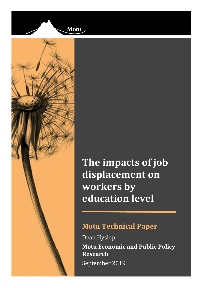



**The impacts of job displacement on workers by education level**

# **Motu Technical Paper**

Dean Hyslop **Motu Economic and Public Policy Research** September 2019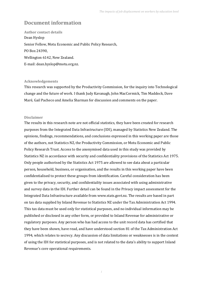### **Document information**

**Author contact details** Dean Hyslop Senior Fellow, Motu Economic and Public Policy Research, PO Box 24390, Wellington 6142, New Zealand. E-mail: dean.hyslop@motu.org.nz.

#### **Acknowledgements**

This research was supported by the Productivity Commission, for the inquiry into Technological change and the future of work. I thank Judy Kavanagh, John MacCormick, Tim Maddock, Dave Maré, Gail Pacheco and Amelia Sharman for discussion and comments on the paper.

#### **Disclaimer**

The results in this research note are not official statistics, they have been created for research purposes from the Integrated Data Infrastructure (IDI), managed by Statistics New Zealand. The opinions, findings, recommendations, and conclusions expressed in this working paper are those of the authors, not Statistics NZ, the Productivity Commission, or Motu Economic and Public Policy Research Trust. Access to the anonymised data used in this study was provided by Statistics NZ in accordance with security and confidentiality provisions of the Statistics Act 1975. Only people authorised by the Statistics Act 1975 are allowed to see data about a particular person, household, business, or organisation, and the results in this working paper have been confidentialised to protect these groups from identification. Careful consideration has been given to the privacy, security, and confidentiality issues associated with using administrative and survey data in the IDI. Further detail can be found in the Privacy impact assessment for the Integrated Data Infrastructure available from www.stats.govt.nz. The results are based in part on tax data supplied by Inland Revenue to Statistics NZ under the Tax Administration Act 1994. This tax data must be used only for statistical purposes, and no individual information may be published or disclosed in any other form, or provided to Inland Revenue for administrative or regulatory purposes. Any person who has had access to the unit record data has certified that they have been shown, have read, and have understood section 81 of the Tax Administration Act 1994, which relates to secrecy. Any discussion of data limitations or weaknesses is in the context of using the IDI for statistical purposes, and is not related to the data's ability to support Inland Revenue's core operational requirements.

*i*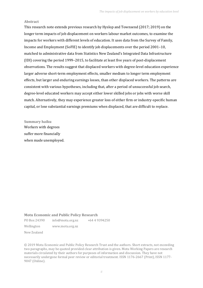#### **Abstract**

This research note extends previous research by Hyslop and Townsend (2017; 2019) on the longer term impacts of job displacement on workers labour market outcomes, to examine the impacts for workers with different levels of education. It uses data from the Survey of Family, Income and Employment (SoFIE) to identify job displacements over the period 2001–10, matched to administrative data from Statistics New Zealand's Integrated Data Infrastructure (IDI) covering the period 1999–2015, to facilitate at least five years of post-displacement observations. The results suggest that displaced workers with degree-level education experience larger adverse short-term employment effects, smaller medium to longer term employment effects, but larger and enduring earnings losses, than other displaced workers. The patterns are consistent with various hypotheses, including that, after a period of unsuccessful job search, degree-level educated workers may accept either lower skilled jobs or jobs with worse skill match. Alternatively, they may experience greater loss of either firm or industry-specific human capital, or lose substantial earnings premiums when displaced, that are difficult to replace.

**Summary haiku** Workers with degrees

suffer more financially when made unemployed.

#### **Motu Economic and Public Policy Research**

PO Box 24390 info@motu.org.nz +64 4 9394250

Wellington www.motu.org.nz

New Zealand

© 2019 Motu Economic and Public Policy Research Trust and the authors. Short extracts, not exceeding two paragraphs, may be quoted provided clear attribution is given. Motu Working Papers are research materials circulated by their authors for purposes of information and discussion. They have not necessarily undergone formal peer review or editorial treatment. ISSN 1176-2667 (Print), ISSN 1177- 9047 (Online).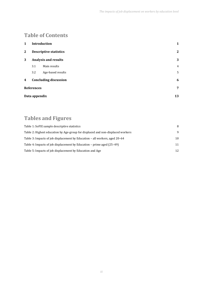## **Table of Contents**

| 1             | Introduction      |                               | 1              |
|---------------|-------------------|-------------------------------|----------------|
| $\mathbf{2}$  |                   | <b>Descriptive statistics</b> | $\mathbf{2}$   |
| 3             |                   | Analysis and results          | 3              |
|               | 3.1               | Main results                  | $\overline{4}$ |
|               | 3.2               | Age-based results             | 5              |
| 4             |                   | <b>Concluding discussion</b>  | 6              |
|               | <b>References</b> |                               | 7              |
| Data appendix |                   | 13                            |                |

# **Tables and Figures**

| Table 1: SoFIE sample descriptive statistics                                    | 8  |
|---------------------------------------------------------------------------------|----|
| Table 2: Highest education by Age-group for displaced and non-displaced workers | 9  |
| Table 3: Impacts of job displacement by Education – all workers, aged 20–64     | 10 |
| Table 4: Impacts of job displacement by Education – prime aged (25–49)          | 11 |
| Table 5: Impacts of job displacement by Education and Age                       | 12 |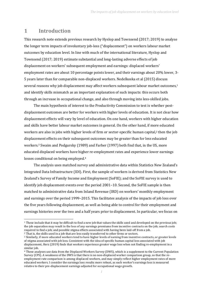### <span id="page-4-0"></span>**1 Introduction**

 $\overline{a}$ 

This research note extends previous research by Hyslop and Townsend (2017; 2019) to analyse the longer term impacts of involuntary job-loss ("displacement") on workers labour market outcomes by education level. In line with much of the international literature, Hyslop and Townsend (2017; 2019) estimate substantial and long-lasting adverse effects of job displacement on workers' subsequent employment and earnings: displaced workers' employment rates are about 10 percentage points lower, and their earnings about 20% lower, 3- 5 years later than for comparable non-displaced workers. Nedelkoska et al (2015) discuss several reasons why job displacement may affect workers subsequent labour market outcomes, 1 and identify skills mismatch as an important explanation of such impacts: this occurs both through an increase in occupational change, and also through moving into less-skilled jobs.

The main hypothesis of interest to the Productivity Commission to test is whether postdisplacement outcomes are better for workers with higher levels of education. It is not clear how displacement effects will vary by level of education. On one hand, workers with higher education and skills have better labour market outcomes in general. On the other hand, if more educated workers are also in jobs with higher levels of firm or sector-specific human capital,<sup>2</sup> then the job displacement effects on their subsequent outcomes may be greater than for less educated workers.<sup>3</sup> Swaim and Podgursky (1989) and Farber (1997) both find that, in the US, more educated displaced workers have higher re-employment rates and experience lower earnings losses conditional on being employed.<sup>4</sup>

The analysis uses matched survey and administrative data within Statistics New Zealand's Integrated Data Infrastructure (IDI). First, the sample of workers is derived from Statistics New Zealand's Survey of Family Income and Employment (SoFIE); and the SoFIE survey is used to identify job displacement events over the period 2001-10. Second, the SoFIE sample is then matched to administrative data from Inland Revenue (IRD) on workers' monthly employment and earnings over the period 1999–2015. This facilitates analysis of the impacts of job loss over the five years following displacement, as well as being able to control for their employment and earnings histories over the two and a half years prior to displacement. In particular, we focus on

<sup>1</sup> These include that it may be difficult to find a new job that values the skills used and developed on the previous job; the job separation may result in the loss of any earnings premiums from incentive contracts on the job; search costs required to find a job; and possible stigma effects associated with having been laid-off from a job. <sup>2</sup> That is, the skills used in a job that are less easily transferred to other firms or sectors.

<sup>3</sup> Similarly, if more educated workers tend to have higher levels of earning from incentive contracts, or greater levels

of stigma associated with job loss. Consistent with the idea of specific human capital loss associated with job displacement, Herz (2019) finds that workers experience greater wage loss when not finding re-employment in a similar job.

<sup>4</sup> These analyses use data from the Displaced Workers Survey (DWS), which is a supplement to the Current Population Survey (CPS). A weakness of the DWS is that there is no non-displaced worker comparison group, so that the reemployment rate comparison is among displaced workers, and may simply reflect higher employment rates of more educated workers. I consider the earnings loss results more robust, as each worker's earnings loss is measured relative to their pre-displacement earnings adjusted for occupational wage growth.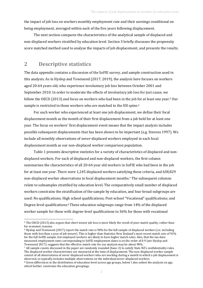the impact of job loss on workers monthly employment rate and their earnings conditional on being employment, averaged within each of the five years following displacement.

The next section compares the characteristics of the analytical sample of displaced and non-displaced workers stratified by education level. Sectio[n 3](#page-6-0) briefly discusses the propensity score matched method used to analyse the impacts of job displacement, and presents the results.

### <span id="page-5-0"></span>**2 Descriptive statistics**

 $\overline{a}$ 

The data appendix contains a discussion of the SoFIE survey, and sample construction used in this analysis. As in Hyslop and Townsend (2017; 2019), the analysis here focuses on workers aged 20-64 years old, who experience involuntary job loss between October 2001 and September 2010. In order to moderate the effects of involuntary job loss for just cause, we follow the OECD (2013) and focus on workers who had been in the job for at least one year.<sup>5</sup> Our sample is restricted to those workers who are matched to the IDI spine.<sup>6</sup>

For each worker who experienced at least one job displacement, we define their focal displacement month as the month of their first displacement from a job held for at least one year. The focus on workers' first displacement event means that the impact analysis includes possible subsequent displacements that has been shown to be important (e.g. Stevens 1997). We include all monthly observations of never-displaced workers employed in each focal displacement month as our non-displaced worker comparison population.

[Table 1](#page-11-0) presents descriptive statistics for a variety of characteristics of displaced and nondisplaced workers. For each of displaced and non-displaced workers, the first column summarises the characteristics of all 20-64 year old workers in SoFIE who had been in the job for at least one year. There were 1,245 displaced workers satisfying these criteria, and 638,829 non-displaced worker observations in focal displacement months.<sup>7</sup> The subsequent columns relate to subsamples stratified by education level. The comparatively small number of displaced workers constrains the stratification of the sample by education, and four broad subgroups are used: No qualifications; High school qualifications; Post-school "Vocational" qualifications; and Degree-level qualifications.<sup>8</sup> These education subgroups range from 14% of the displaced worker sample for those with degree-level qualifications to 36% for those with vocational

<sup>5</sup> The OECD (2013) also argues that short tenure job loss is more likely the result of poor match quality, rather than for economic reasons.

<sup>6</sup> Hyslop and Townsend (2017) report the match rate is 98% for the full sample of displaced workers (i.e. including those with less than a year of job tenure). This is higher than Statistics New Zealand's most recent match rate of 92% for the full SoFIE sample, but employed workers are likely to have higher match rates. Also, that the tax-data measured employment rates corresponding to SoFIE employment dates is on the order of 0.9 (see Hyslop and Townsend 2017), suggests that the effective match rate for our analysis may be about 90%.

<sup>7</sup> All sample counts discussed in the paper are randomly rounded (base-3) to satisfy Stats NZ's confidentiality rules. The displaced worker characteristics are measured at the time of displacement. The non-displaced worker sample consist of all observations of never-displaced workers who are working during a month in which a job displacement is observed, so typically includes multiple observations on the individual never-displaced workers. <sup>8</sup> Given differences in the distribution of education level across age groups, below I also subset the analysis on age,

which further constrains the education groupings.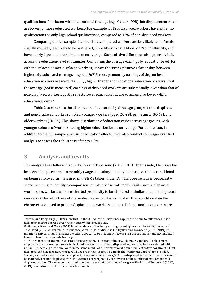qualifications. Consistent with international findings (e.g. Kletzer 1998), job displacement rates are lower for more educated workers.<sup>9</sup> For example, 50% of displaced workers have either no qualifications or only high school qualifications, compared to 42% of non-displaced workers.

Comparing the full sample characteristics, displaced workers are less likely to be female, slightly younger, less likely to be partnered, more likely to have Maori or Pacific ethnicity, and have nearly 1-year shorter job tenure on average. Such relative differences also generally hold across the education-level subsamples. Comparing the average earnings by education level (for either displaced or non-displaced workers) shows the strong positive relationship between higher education and earnings – e.g. the SoFIE average monthly earnings of degree-level education workers are more than 50% higher than that of Vocational education workers. That the average (SoFIE measured) earnings of displaced workers are substantially lower than that of non-displaced workers, partly reflects lower education but are earnings also lower within education groups. 10

[Table 2](#page-12-0) summarises the distribution of education by three age groups for the displaced and non-displaced worker samples: younger workers (aged 20-29), prime aged (30-49), and older workers (50-64). This shows distribution of education varies across age groups, with younger cohorts of workers having higher education levels on average. For this reason, in addition to the full sample analysis of education effects, I will also conduct some age-stratified analysis to assess the robustness of the results.

### <span id="page-6-0"></span>**3 Analysis and results**

 $\overline{a}$ 

The analysis here follows that in Hyslop and Townsend (2017; 2019). In this note, I focus on the impacts of displacement on monthly (wage and salary) employment, and earnings conditional on being employed, as measured in the EMS tables in the IDI. This approach uses propensityscore matching to identify a comparison sample of observationally similar never-displaced workers: i.e. workers whose estimated propensity to be displaced is similar to that of displaced workers.<sup>11</sup> The robustness of the analysis relies on the assumption that, conditional on the characteristics used to predict displacement, workers' potential labour market outcomes are

<sup>9</sup> Swaim and Podgursky (1989) show that, in the US, education differences appear to be due to differences in job displacement rates across occur rather than within occupations.

<sup>10</sup> Although Dixon and Maré (2013) found evidence of declining earnings pre-displacement in SoFIE, Hyslop and Townsend (2017; 2019) found no evidence of this. Also, as discussed in Hyslop and Townsend (2017; 2019), the monthly LEED earnings of displaced workers appear to be inflated by factors such as redundancy and accumulated leave in their final payments from a job.

<sup>11</sup> The propensity score model controls for age, gender, education, ethnicity, job tenure, and pre-displacement employment and earnings. For each displaced worker, up to 10 non-displaced worker matches are selected with replacement among those employed in the same month as the displacement occurs, subject to two constraints. First, displaced and non-displaced workers whose propensity scores lie outside the "common support" are excluded. Second, a non-displaced worker's propensity score must lie within +/-1% of a displaced worker's propensity score to be matched. The non-displaced worker outcomes are weighted by the inverse of the number of matches for each displaced worker. The resultant matched samples are statistically balanced – e.g. see Hyslop and Townsend (2017; 2019) results for the full displaced worker sample.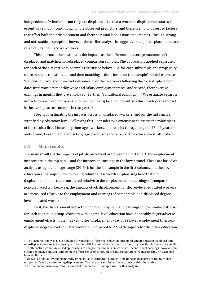independent of whether or not they are displaced – i.e. that a worker's displacement status is essentially random conditional on the observed predictors, and there are no unobserved factors that affect both their displacement and their potential labour market outcomes. This is a strong and untestable assumption, however the earlier analysis is suggestive that job displacements are relatively random across workers.

This approach then estimates the impacts as the difference in average outcomes of the displaced and matched non-displaced comparison samples. The approach is applied separately for each of the alternative subsamples discussed below – i.e. for each subsample, the propensity score model is re-estimated, and then matching is done based on that sample's model estimates. We focus on two labour market outcomes over the five years following the focal displacement date: first, workers monthly wage and salary employment rates; and second, their average earnings in months they are employed (i.e. their "conditional earnings").<sup>12</sup> We estimate separate impacts for each of the five years following the displacement event, in which each year's impact is the average across months in that year.<sup>13</sup>

I begin by estimating the impacts across all displaced workers, and for the full sample stratified by education level. Following this, I consider two extensions to assess the robustness of the results: first, I focus on prime-aged workers, and restrict the age range to 25-49 years;<sup>14</sup> and second, I examine the impacts by age group for a more restrictive education stratification.

#### <span id="page-7-0"></span>**3.1 Main results**

l

The main results of the impacts of job displacement are presented in [Table 3:](#page-13-0) the employment impacts are in the top panel, and the impacts on earnings in the lower panel. These are based on analysis using the full age range (20-64): for the full sample in the first column, and then by education subgroups in the following columns. It is worth emphasising here that the displacement impacts are measured relative to the employment and earnings of comparable non-displaced workers– e.g. the impacts of job displacement for degree-level educated workers are measured relative to the employment and earnings of comparable non-displaced degreelevel educated workers.

First, the displacement impacts on both employment and earnings follow similar patterns for each education group. Workers with degree-level education have noticeably larger adverse employment effects in the first year after displacement – i.e. 33% lower employment than nondisplaced degree-level educated workers (compared to 22-24% impacts for the other education

<sup>12</sup> The earnings analysis is not adjusted for possible differential selection into employment between displaced and non-displaced workers. Podgursky and Swaim (1987) show that the bias from ignoring selection is likely to be small. The alternative, commonly used approach is to analyse the impacts on workers' unconditional earnings; however, the strong (extensive margin) employment effects tends to confound the additional intensive margin (hourly wage and hours) effects.

<sup>13</sup> As well as annual-averaged monthly impacts, I also estimated point-in-time impacts measured at the (6-month) midpoint of each year following displacement. The results are substantively robust to this alternative.

<sup>14</sup> I broaden the prime-age range somewhat to increase the sample size for this analysis.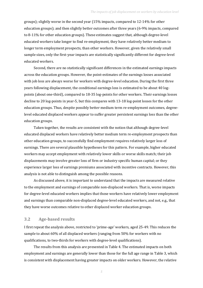groups); slightly worse in the second year (15% impacts, compared to 12-14% for other education groups); and then slightly better outcomes after three years (6-9% impacts, compared to 8-11% for other education groups). These estimates suggest that, although degree-level educated workers take longer to find re-employment, they have relatively better medium to longer term employment prospects, than other workers. However, given the relatively small sample sizes, only the first-year impacts are statistically significantly different for degree-level educated workers.

Second, there are no statistically significant differences in the estimated earnings impacts across the education groups. However, the point-estimates of the earnings losses associated with job loss are always worse for workers with degree-level education. During the first three years following displacement, the conditional earnings loss is estimated to be about 40 logpoints (about one-third), compared to 18-35 log-points for other workers. Their earnings losses decline to 20 log-points in year-5, but this compares with 13-18 log-point losses for the other education groups. Thus, despite possibly better medium term re-employment outcomes, degreelevel educated displaced workers appear to suffer greater persistent earnings loss than the other education groups.

Taken together, the results are consistent with the notion that although degree-level educated displaced workers have relatively better medium term re-employment prospects than other education groups, to successfully find employment requires relatively larger loss of earnings. There are several plausible hypotheses for this pattern. For example, higher educated workers may accept employment with relatively lower skills or worse skills match; their job displacements may involve greater loss of firm or industry specific human capital; or they experience larger loss of earnings premiums associated with incentive contracts. However, this analysis is not able to distinguish among the possible reasons.

As discussed above, it is important to understand that the impacts are measured relative to the employment and earnings of comparable non-displaced workers. That is, worse impacts for degree-level educated workers implies that those workers have relatively lower employment and earnings than comparable non-displaced degree-level educated workers, and not, e.g., that they have worse outcomes relative to other displaced worker education groups.

#### <span id="page-8-0"></span>**3.2 Age-based results**

I first repeat the analysis above, restricted to 'prime-age' workers, aged 25-49. This reduces the sample to about 60% of all displaced workers (ranging from 50% for workers with no qualifications, to two-thirds for workers with degree-level qualifications).

The results from this analysis are presented in [Table 4.](#page-14-0) The estimated impacts on both employment and earnings are generally lower than those for the full age range i[n Table 3,](#page-13-0) which is consistent with displacement having greater impacts on older workers. However, the relative

*5*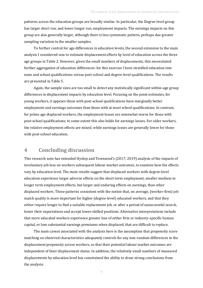patterns across the education groups are broadly similar. In particular, the Degree-level group has larger short run, and lower longer run, employment impacts. The earnings impacts on this group are also generally larger, although there is less systematic pattern, perhaps due greater sampling variation in the smaller samples.

To further control for age differences in education levels, the second extension to the main analysis I considered was to estimate displacement effects by level of education across the three age groups in [Table 2.](#page-12-0) However, given the small numbers of displacements, this necessitated further aggregation of education differences: for this exercise I have stratified education into none and school qualifications versus post-school and degree-level qualifications. The results are presented in [Table 5.](#page-15-0)

Again, the sample sizes are too small to detect any statistically significant within-age group differences in displacement impacts by education level. Focusing on the point estimates, for young workers, it appears those with post-school qualifications have marginally better employment and earnings outcomes than those with at most school qualifications. In contrast, for prime age displaced workers, the employment losses are somewhat worse for those with post-school qualifications; to some extent this also holds for earnings losses. For older workers, the relative employment effects are mixed, while earnings losses are generally lower for those with post-school education.

### <span id="page-9-0"></span>**4 Concluding discussion**

This research note has extended Hyslop and Townsend's (2017; 2019) analysis of the impacts of involuntary job loss on workers subsequent labour market outcomes, to examine how the effects vary by education level. The main results suggest that displaced workers with degree-level education experience larger adverse effects on the short-term employment, smaller medium to longer term employment effects, but larger and enduring effects on earnings, than other displaced workers. These patterns consistent with the notion that, on average, (worker-firm) job match quality is more important for higher (degree-level) educated workers; and that they either require longer to find a suitable replacement job, or after a period of unsuccessful search, lower their expectations and accept lower-skilled positions. Alternative interpretations include that more educated workers experience greater loss of either firm or industry-specific human capital, or lose substantial earnings premiums when displaced, that are difficult to replace.

The main caveat associated with the analysis here is the assumption that propensity score matching on observed characteristics adequately controls for any non-random differences in the displacement propensity across workers, so that their potential labour market outcomes are independent of their displacement status. In addition, the relatively small numbers of measured displacements by education level has constrained the ability to draw strong conclusions from the analysis.

*6*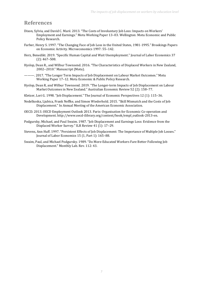### <span id="page-10-0"></span>**References**

- Dixon, Sylvia, and David C. Maré. 2013. "The Costs of Involuntary Job Loss: Impacts on Workers' Employment and Earnings." Motu Working Paper 13–03. Wellington: Motu Economic and Public Policy Research.
- Farber, Henry S. 1997. "The Changing Face of Job Loss in the United States, 1981-1995." Brookings Papers on Economic Activity. Microeconomics 1997: 55–142.
- Herz, Benedikt. 2019. "Specific Human Capital and Wait Unemployment." Journal of Labor Economics 37 (2): 467–508.
- Hyslop, Dean R., and Wilbur Townsend. 2016. "The Characteristics of Displaced Workers in New Zealand, 2002--2010." Manuscript (Motu).
- ———. 2017. "The Longer Term Impacts of Job Displacement on Labour Market Outcomes." Motu Working Paper 17–12. Motu Economic & Public Policy Research.
- Hyslop, Dean R, and Wilbur Townsend. 2019. "The Longer‐term Impacts of Job Displacement on Labour Market Outcomes in New Zealand." Australian Economic Review 52 (2): 158–77.
- Kletzer, Lori G. 1998. "Job Displacement." The Journal of Economic Perspectives 12 (1): 115–36.
- Nedelkoska, Ljubica, Frank Neffke, and Simon Wiederhold. 2015. "Skill Mismatch and the Costs of Job Displacement." In Annual Meeting of the American Economic Association.
- OECD. 2013. OECD Employment Outlook 2013. Paris: Organisation for Economic Co-operation and Development. http://www.oecd-ilibrary.org/content/book/empl\_outlook-2013-en.
- Podgursky, Michael, and Paul Swaim. 1987. "Job Displacement and Earnings Loss: Evidence from the Displaced Worker Survey." ILR Review 41 (1): 17–29.
- Stevens, Ann Huff. 1997. "Persistent Effects of Job Displacement: The Importance of Multiple Job Losses." Journal of Labor Economics 15 (1, Part 1): 165–88.
- Swaim, Paul, and Michael Podgursky. 1989. "Do More-Educated Workers Fare Better Following Job Displacement." Monthly Lab. Rev. 112: 43.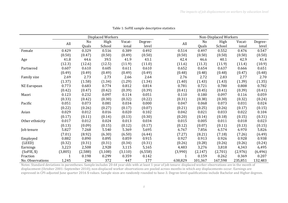|                  |         |         | Displaced Workers |          |          |         |          | Non-Displaced Workers |         |          |
|------------------|---------|---------|-------------------|----------|----------|---------|----------|-----------------------|---------|----------|
|                  | All     | No      | High              | Vocat-   | Degree-  | All     | No       | High                  | Vocat-  | Degree-  |
|                  |         | Quals   | School            | ional    | level    |         | Quals    | School                | ional   | level    |
| Female           | 0.429   | 0.329   | 0.516             | 0.389    | 0.492    | 0.514   | 0.497    | 0.552                 | 0.476   | 0.547    |
|                  | (0.50)  | (0.47)  | (0.50)            | (0.49)   | (0.50)   | (0.50)  | (0.50)   | (0.50)                | (0.50)  | (0.50)   |
| Age              | 41.8    | 44.6    | 39.5              | 41.9     | 43.1     | 42.4    | 46.6     | 40.1                  | 42.9    | 41.4     |
|                  | (12.3)  | (12.6)  | (12.5)            | (11.9)   | (11.0)   | (11.6)  | (11.3)   | (11.9)                | (11.4)  | (10.9)   |
| Partnered        | 0.607   | 0.610   | 0.605             | 0.611    | 0.610    | 0.652   | 0.654    | 0.637                 | 0.666   | 0.651    |
|                  | (0.49)  | (0.49)  | (0.49)            | (0.49)   | (0.49)   | (0.48)  | (0.48)   | (0.48)                | (0.47)  | (0.48)   |
| Family size      | 2.69    | 2.73    | 2.73              | 2.66     | 2.64     | 2.76    | 2.72     | 2.83                  | 2.77    | 2.70     |
|                  | (1.37)  | (1.58)  | (1.34)            | (1.29)   | (1.34)   | (1.40)  | (1.43)   | (1.43)                | (1.39)  | (1.35)   |
| NZ European      | 0.773   | 0.683   | 0.774             | 0.812    | 0.814    | 0.781   | 0.721    | 0.780                 | 0.808   | 0.782    |
|                  | (0.42)  | (0.47)  | (0.42)            | (0.39)   | (0.39)   | (0.41)  | (0.45)   | (0.41)                | (0.39)  | (0.41)   |
| Maori            | 0.123   | 0.232   | 0.097             | 0.114    | 0.051    | 0.110   | 0.180    | 0.097                 | 0.116   | 0.059    |
|                  | (0.33)  | (0.42)  | (0.30)            | (0.32)   | (0.22)   | (0.31)  | (0.38)   | (0.30)                | (0.32)  | (0.24)   |
| Pacific          | 0.051   | 0.073   | 0.081             | 0.034    | 0.000    | 0.047   | 0.068    | 0.073                 | 0.031   | 0.024    |
|                  | (0.22)  | (0.26)  | (0.27)            | (0.17)   | (0.07)   | (0.21)  | (0.25)   | (0.26)                | (0.17)  | (0.15)   |
| Asian            | 0.029   | 0.012   | 0.016             | 0.020    | 0.102    | 0.042   | 0.021    | 0.033                 | 0.022   | 0.104    |
|                  | (0.17)  | (0.11)  | (0.14)            | (0.13)   | (0.30)   | (0.20)  | (0.14)   | (0.18)                | (0.15)  | (0.31)   |
| Other ethnicity  | 0.017   | 0.012   | 0.024             | 0.013    | 0.034    | 0.015   | 0.005    | 0.011                 | 0.018   | 0.023    |
|                  | (0.13)  | (0.09)  | (0.15)            | (0.12)   | (0.17)   | (0.12)  | (0.07)   | (0.11)                | (0.13)  | (0.15)   |
| Job tenure       | 5.827   | 7.268   | 5.540             | 5.369    | 5.695    | 6.767   | 7.856    | 6.574                 | 6.970   | 5.826    |
|                  | (7.01)  | (8.92)  | (6.30)            | (6.50)   | (6.44)   | (7.27)  | (8.21)   | (7.18)                | (7.26)  | (6.49)   |
| Employed         | 0.882   | 0.890   | 0.895             | 0.859    | 0.915    | 0.927   | 0.913    | 0.926                 | 0.928   | 0.938    |
| (LEED)           | (0.32)  | (0.31)  | (0.31)            | (0.34)   | (0.31)   | (0.26)  | (0.28)   | (0.26)                | (0.26)  | (0.24)   |
| Earnings         | 3,223   | 2,508   | 2,928             | 3,115    | 5,165    | 4,483   | 3,276    | 3,818                 | 4,343   | 6,495    |
| (SoFIE, \$)      | (3,805) | (2,588) | (3, 108)          | (3, 110) | (6, 558) | (3,990) | (2, 147) | (2,701)               | (2,976) | (6, 496) |
| Fraction         |         | 0.198   | 0.299             | 0.359    | 0.142    | 1       | 0.159    | 0.262                 | 0.369   | 0.207    |
| No. Observations | 1,245   | 246     | 372               | 447      | 177      | 638,829 | 101,367  | 167,598               | 235,851 | 132,483  |

#### Table 1: SoFIE sample descriptive statistics

<span id="page-11-0"></span>Notes: Standard deviations in parentheses. Sample includes 20-64 year olds with at least 1-year of job tenure: displaced worker observations are in the month of displacement (October 2001–September 2010); non-displaced worker observations are pooled across months in which any displacements occur. Earnings are expressed in CPI-adjusted June quarter 2016 \$-values. Sample sizes are randomly rounded to base-3. Degree-level qualifications include Bachelor and Higher degrees.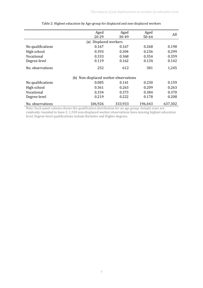<span id="page-12-0"></span>

|                   | Aged<br>20-29                         | Aged<br>30-49 | Aged<br>50-64 | All     |  |  |
|-------------------|---------------------------------------|---------------|---------------|---------|--|--|
|                   | Displaced workers<br>(a)              |               |               |         |  |  |
| No qualifications | 0.167                                 | 0.167         | 0.268         | 0.198   |  |  |
| High school       | 0.393                                 | 0.304         | 0.236         | 0.299   |  |  |
| Vocational        | 0.333                                 | 0.368         | 0.354         | 0.359   |  |  |
| Degree-level      | 0.119                                 | 0.162         | 0.134         | 0.142   |  |  |
| No. observations  | 252                                   | 612           | 381           | 1,245   |  |  |
|                   | (b) Non-displaced worker observations |               |               |         |  |  |
| No qualifications | 0.085                                 | 0.141         | 0.230         | 0.159   |  |  |
| High school       | 0.361                                 | 0.263         | 0.209         | 0.263   |  |  |
| Vocational        | 0.334                                 | 0.373         | 0.384         | 0.370   |  |  |
| Degree-level      | 0.219                                 | 0.222         | 0.178         | 0.208   |  |  |
| No. observations  | 106,926                               | 333,933       | 196,443       | 637,302 |  |  |

### Table 2: Highest education by Age-group for displaced and non-displaced workers

Note: Each panel column shows the qualification distribution for an age group. Sample sizes are randomly rounded to base-3. 1,530 non-displaced worker observations have missing highest education level. Degree-level qualifications include Bachelor and Higher degrees.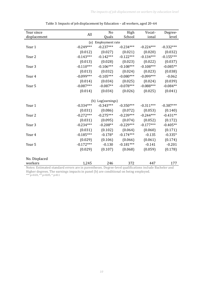<span id="page-13-0"></span>

| Year since                                                                                                       | All         | N <sub>o</sub>      | High        | Vocat-      | Degree-     |
|------------------------------------------------------------------------------------------------------------------|-------------|---------------------|-------------|-------------|-------------|
| displacement                                                                                                     |             | Quals               | School      | ional       | level       |
|                                                                                                                  |             | (a) Employment rate |             |             |             |
| Year 1                                                                                                           | $-0.249***$ | $-0.237***$         | $-0.234***$ | $-0.224***$ | $-0.332***$ |
|                                                                                                                  | (0.012)     | (0.027)             | (0.021)     | (0.020)     | (0.032)     |
| Year 2                                                                                                           | $-0.143***$ | $-0.142***$         | $-0.122***$ | $-0.134***$ | $-0.155***$ |
|                                                                                                                  | (0.013)     | (0.028)             | (0.023)     | (0.022)     | (0.037)     |
| Year 3                                                                                                           | $-0.110***$ | $-0.106***$         | $-0.108***$ | $-0.108***$ | $-0.085**$  |
|                                                                                                                  | (0.013)     | (0.032)             | (0.024)     | (0.023)     | (0.038)     |
| Year 4                                                                                                           | $-0.099***$ | $-0.105***$         | $-0.080***$ | $-0.099***$ | $-0.062$    |
|                                                                                                                  | (0.014)     | (0.034)             | (0.025)     | (0.024)     | (0.039)     |
| Year 5                                                                                                           | $-0.087***$ | $-0.087**$          | $-0.078***$ | $-0.088***$ | $-0.084**$  |
|                                                                                                                  | (0.014)     | (0.034)             | (0.026)     | (0.025)     | (0.041)     |
|                                                                                                                  |             |                     |             |             |             |
|                                                                                                                  |             | (b) Log(earnings)   |             |             |             |
| Year 1                                                                                                           | $-0.334***$ | $-0.343***$         | $-0.350***$ | $-0.311***$ | $-0.387***$ |
|                                                                                                                  | (0.031)     | (0.086)             | (0.072)     | (0.053)     | (0.140)     |
| Year 2                                                                                                           | $-0.272***$ | $-0.275***$         | $-0.239***$ | $-0.244***$ | $-0.431**$  |
|                                                                                                                  | (0.031)     | (0.095)             | (0.074)     | (0.052)     | (0.172)     |
| Year 3                                                                                                           | $-0.234***$ | $-0.208**$          | $-0.229***$ | $-0.177***$ | $-0.405**$  |
|                                                                                                                  | (0.031)     | (0.102)             | (0.064)     | (0.060)     | (0.171)     |
| Year 4                                                                                                           | $-0.185***$ | $-0.178*$           | $-0.174***$ | $-0.135$    | $-0.335*$   |
|                                                                                                                  | (0.029)     | (0.106)             | (0.066)     | (0.061)     | (0.174)     |
| Year 5                                                                                                           | $-0.172***$ | $-0.130$            | $-0.181***$ | $-0.141$    | $-0.201$    |
|                                                                                                                  | (0.029)     | (0.107)             | (0.068)     | (0.059)     | (0.178)     |
|                                                                                                                  |             |                     |             |             |             |
| No. Displaced                                                                                                    |             |                     |             |             |             |
| workers<br>Notes: Estimated standard errors are in parentheses. Degree-level qualifications include Rachelor and | 1,245       | 246                 | 372         | 447         | 177         |

| Table 3: Impacts of job displacement by Education - all workers, aged 20-64 |  |  |
|-----------------------------------------------------------------------------|--|--|
|                                                                             |  |  |

Notes: Estimated standard errors are in parentheses. Degree-level qualifications include Bachelor and Higher degrees. The earnings impacts in panel (b) are conditional on being employed. \*\*\* p<0.01, \*\* p<0.05, \* p<0.1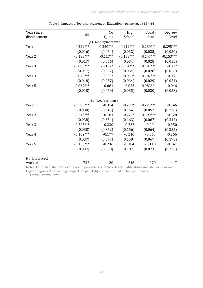<span id="page-14-0"></span>

| Year since                                                                                            | All         | No                  | High        | Vocat-      | Degree-     |
|-------------------------------------------------------------------------------------------------------|-------------|---------------------|-------------|-------------|-------------|
| displacement                                                                                          |             | Quals               | School      | ional       | level       |
|                                                                                                       |             | (a) Employment rate |             |             |             |
| Year 1                                                                                                | $-0.229***$ | $-0.220***$         | $-0.219***$ | $-0.230***$ | $-0.295***$ |
|                                                                                                       | (0.016)     | (0.054)             | (0.032)     | (0.025)     | (0.050)     |
| Year 2                                                                                                | $-0.133***$ | $-0.117**$          | $-0.133***$ | $-0.147***$ | $-0.153***$ |
|                                                                                                       | (0.017)     | (0.056)             | (0.034)     | (0.028)     | (0.055)     |
| Year 3                                                                                                | $-0.089***$ | $-0.102*$           | $-0.094***$ | $-0.101***$ | $-0.077$    |
|                                                                                                       | (0.017)     | (0.057)             | (0.034)     | (0.028)     | (0.050)     |
| Year 4                                                                                                | $-0.079***$ | $-0.099*$           | $-0.059*$   | $-0.102***$ | $-0.051$    |
|                                                                                                       | (0.018)     | (0.057)             | (0.034)     | (0.029)     | (0.054)     |
| Year 5                                                                                                | $-0.067***$ | $-0.061$            | $-0.053$    | $-0.082***$ | $-0.046$    |
|                                                                                                       | (0.018)     | (0.059)             | (0.035)     | (0.030)     | (0.058)     |
|                                                                                                       |             |                     |             |             |             |
|                                                                                                       |             | (b) Log(earnings)   |             |             |             |
| Year 1                                                                                                | $-0.285***$ | $-0.314$            | $-0.299*$   | $-0.223***$ | $-0.346$    |
|                                                                                                       | (0.038)     | (0.343)             | (0.154)     | (0.057)     | (0.270)     |
| Year 2                                                                                                | $-0.242***$ | $-0.183$            | $-0.271*$   | $-0.190***$ | $-0.328$    |
|                                                                                                       | (0.038)     | (0.354)             | (0.163)     | (0.067)     | (0.312)     |
| Year 3                                                                                                | $-0.205***$ | $-0.230$            | $-0.232$    | $-0.094$    | $-0.350$    |
|                                                                                                       | (0.038)     | (0.352)             | (0.156)     | (0.064)     | (0.255)     |
| Year 4                                                                                                | $-0.162***$ | $-0.177$            | $-0.210$    | $-0.063$    | $-0.266$    |
|                                                                                                       | (0.037)     | (0.377)             | (0.159)     | (0.067)     | (0.190)     |
| Year 5                                                                                                | $-0.153***$ | $-0.236$            | $-0.184$    | $-0.110$    | $-0.141$    |
|                                                                                                       | (0.037)     | (0.388)             | (0.187)     | (0.073)     | (0.236)     |
|                                                                                                       |             |                     |             |             |             |
| No. Displaced                                                                                         |             |                     |             |             |             |
| workers                                                                                               | 732         | 120                 | 216         | 279         | 117         |
| Notes: Estimated standard errors are in parentheses. Degree-level qualifications include Bachelor and |             |                     |             |             |             |

| Table 4: Impacts of job displacement by Education - prime aged (25-49) |  |  |  |  |  |
|------------------------------------------------------------------------|--|--|--|--|--|
|------------------------------------------------------------------------|--|--|--|--|--|

Higher degrees. The earnings impacts in panel (b) are conditional on being employed. \*\*\* p<0.01, \*\* p<0.05, \* p<0.1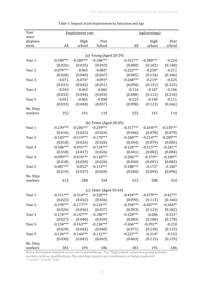<span id="page-15-0"></span>

| Year<br><b>Employment rate</b>                                                | <u>log(earnings)</u> |             |
|-------------------------------------------------------------------------------|----------------------|-------------|
| since                                                                         |                      |             |
| displace-<br>Post<br>High                                                     | High                 | Post        |
| All<br>school<br>School<br>All<br>ment                                        | school               | school      |
| (a) Young (Aged 20-29)                                                        |                      |             |
| $-0.200***$<br>$-0.186***$<br>$-0.189***$<br>$-0.312***$<br>Year 1            | $-0.380***$          | $-0.224$    |
| (0.026)<br>(0.035)<br>(0.043)<br>(0.080)                                      | (0.102)              | (0.148)     |
| $-0.079***$<br>$-0.083*$<br>$-0.223***$<br>$-0.065$<br>Year 2                 | $-0.230*$            | $-0.211$    |
| (0.040)<br>(0.047)<br>(0.028)<br>(0.085)                                      | (0.134)              | (0.186)     |
| $-0.268***$<br>$-0.071$<br>$-0.076*$<br>$-0.093*$<br>Year 3                   | $-0.219*$            | $-0.225$    |
| (0.031)<br>(0.042)<br>(0.051)<br>(0.094)                                      | (0.131)              | (0.225)     |
| $-0.043$<br>$-0.043$<br>$-0.062$<br>$-0.116$<br>Year 4                        | $-0.107$             | $-0.106$    |
| (0.044)<br>(0.054)<br>(0.088)                                                 | (0.112)              | (0.210)     |
| (0.032)<br>$-0.125$                                                           | $-0.140$             | $-0.111$    |
| $-0.051$<br>$-0.065$<br>$-0.050$<br>Year 5                                    |                      |             |
| (0.033)<br>(0.048)<br>(0.057)<br>(0.098)                                      | (0.123)              | (0.266)     |
| No. Disp.<br>252<br>141<br>114<br>workers<br>252                              | 141                  | 114         |
|                                                                               |                      |             |
| (b) Prime (Aged 30-49)                                                        |                      |             |
| $-0.206***$<br>$-0.259***$<br>$-0.239***$<br>$-0.317***$<br>Year 1            | $-0.264***$          | $-0.334***$ |
| (0.024)<br>(0.016)<br>(0.025)<br>(0.046)                                      | (0.078)              | (0.070)     |
| $-0.119***$<br>$-0.170***$<br>$-0.145***$<br>$-0.260***$<br>Year <sub>2</sub> | $-0.214***$          | $-0.289***$ |
| (0.044)<br>(0.018)<br>(0.026)<br>(0.026)                                      | (0.079)              | (0.085)     |
| $-0.091***$<br>$-0.226***$<br>$-0.106***$<br>$-0.114***$<br>Year 3            | $-0.215***$          | $-0.201**$  |
| (0.027)<br>(0.018)<br>(0.026)<br>(0.041)                                      | (0.082)              | (0.084)     |
| $-0.099***$<br>$-0.076***$<br>$-0.110***$<br>$-0.206***$<br>Year 4            | $-0.179**$           | $-0.189**$  |
| (0.040)<br>(0.018)<br>(0.028)<br>(0.026)                                      | (0.091)              | (0.083)     |
| $-0.087***$<br>$-0.052*$<br>$-0.113***$<br>$-0.188***$<br>Year 5              | $-0.172*$            | $-0.182*$   |
| (0.027)<br>(0.028)<br>(0.040)<br>(0.019)                                      | (0.094)              | (0.096)     |
| No. Disp.                                                                     |                      |             |
| 288<br>324<br>612<br>workers<br>612                                           | 288                  | 324         |
|                                                                               |                      |             |
| (c) Older (Aged $50-64$ )                                                     |                      |             |
| $-0.314***$<br>$-0.320***$<br>$-0.311***$<br>$-0.454***$<br>Year 1            | $-0.479***$          | $-0.417**$  |
| (0.023)<br>(0.032)<br>(0.036)<br>(0.090)                                      | (0.113)              | (0.166)     |
| $-0.199***$<br>$-0.216***$<br>$-0.394***$<br>$-0.177***$<br>Year 2            | $-0.407***$          | $-0.364**$  |
| (0.036)<br>(0.037)<br>(0.093)<br>(0.026)                                      | (0.123)              | (0.182)     |
| $-0.174***$<br>$-0.147***$<br>$-0.180***$<br>$-0.324***$<br>Year <sub>3</sub> | $-0.286$             | $-0.311*$   |
| (0.040)<br>(0.039)<br>(0.083)<br>(0.027)                                      | (0.180)              | (0.178)     |
| $-0.154***$<br>$-0.163***$<br>$-0.136***$<br>$-0.266***$<br>Year 4            | $-0.292**$           | $-0.210$    |
| (0.042)<br>(0.029)<br>(0.040)<br>(0.071)                                      | (0.130)              | (0.133)     |
| $-0.134***$<br>$-0.144***$<br>$-0.112***$<br>$-0.227***$<br>Year 5            | $-0.214*$            | $-0.153$    |
| (0.030)<br>(0.043)<br>(0.043)<br>(0.063)                                      | (0.115)              | (0.129)     |
| No. Disp.                                                                     |                      |             |
| 381<br>381<br>195<br>186<br>workers                                           | 195                  | 186         |

| Table 5: Impacts of job displacement by Education and Age |  |  |  |  |  |  |
|-----------------------------------------------------------|--|--|--|--|--|--|
|-----------------------------------------------------------|--|--|--|--|--|--|

Notes: Estimated standard errors are in parentheses. The "High school" education group includes workers with no qualifications. The earnings impacts are conditional on being employed. \*\*\*  $p<0.01$ , \*\*  $p<0.05$ , \*  $p<0.1$